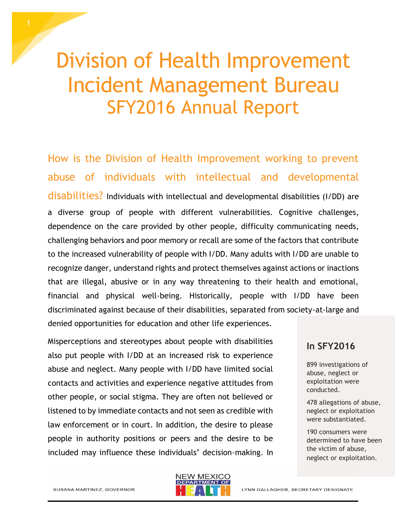# Division of Health Improvement Incident Management Bureau SFY2016 Annual Report

How is the Division of Health Improvement working to prevent abuse of individuals with intellectual and developmental disabilities? Individuals with intellectual and developmental disabilities (I/DD) are a diverse group of people with different vulnerabilities. Cognitive challenges, dependence on the care provided by other people, difficulty communicating needs, challenging behaviors and poor memory or recall are some of the factors that contribute to the increased vulnerability of people with I/DD. Many adults with I/DD are unable to recognize danger, understand rights and protect themselves against actions or inactions that are illegal, abusive or in any way threatening to their health and emotional, financial and physical well-being. Historically, people with I/DD have been discriminated against because of their disabilities, separated from society-at-large and denied opportunities for education and other life experiences.

Misperceptions and stereotypes about people with disabilities also put people with I/DD at an increased risk to experience abuse and neglect. Many people with I/DD have limited social contacts and activities and experience negative attitudes from other people, or social stigma. They are often not believed or listened to by immediate contacts and not seen as credible with law enforcement or in court. In addition, the desire to please people in authority positions or peers and the desire to be included may influence these individuals' decision-making. In

#### **In SFY2016**

899 investigations of abuse, neglect or exploitation were conducted.

478 allegations of abuse, neglect or exploitation were substantiated.

190 consumers were determined to have been the victim of abuse, neglect or exploitation.

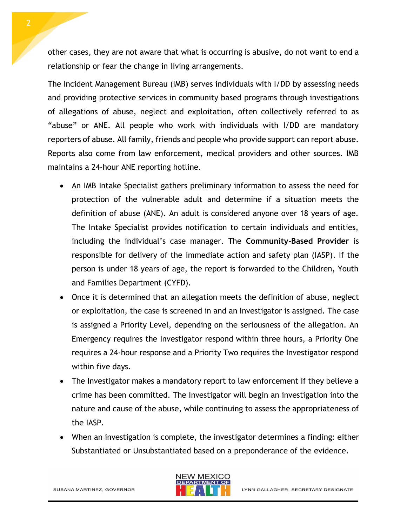other cases, they are not aware that what is occurring is abusive, do not want to end a relationship or fear the change in living arrangements.

The Incident Management Bureau (IMB) serves individuals with I/DD by assessing needs and providing protective services in community based programs through investigations of allegations of abuse, neglect and exploitation, often collectively referred to as "abuse" or ANE. All people who work with individuals with I/DD are mandatory reporters of abuse. All family, friends and people who provide support can report abuse. Reports also come from law enforcement, medical providers and other sources. IMB maintains a 24-hour ANE reporting hotline.

- An IMB Intake Specialist gathers preliminary information to assess the need for protection of the vulnerable adult and determine if a situation meets the definition of abuse (ANE). An adult is considered anyone over 18 years of age. The Intake Specialist provides notification to certain individuals and entities, including the individual's case manager. The **Community-Based Provider** is responsible for delivery of the immediate action and safety plan (IASP). If the person is under 18 years of age, the report is forwarded to the Children, Youth and Families Department (CYFD).
- Once it is determined that an allegation meets the definition of abuse, neglect or exploitation, the case is screened in and an Investigator is assigned. The case is assigned a Priority Level, depending on the seriousness of the allegation. An Emergency requires the Investigator respond within three hours, a Priority One requires a 24-hour response and a Priority Two requires the Investigator respond within five days.
- The Investigator makes a mandatory report to law enforcement if they believe a crime has been committed. The Investigator will begin an investigation into the nature and cause of the abuse, while continuing to assess the appropriateness of the IASP.
- When an investigation is complete, the investigator determines a finding: either Substantiated or Unsubstantiated based on a preponderance of the evidence.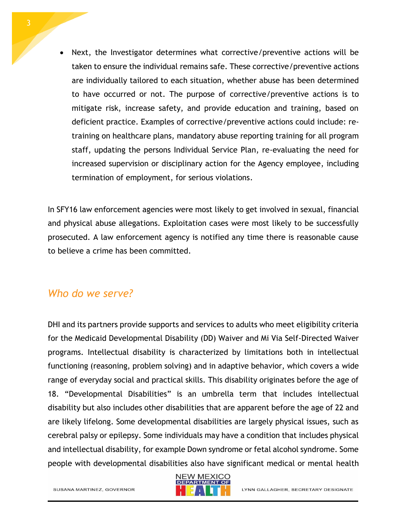Next, the Investigator determines what corrective/preventive actions will be taken to ensure the individual remains safe. These corrective/preventive actions are individually tailored to each situation, whether abuse has been determined to have occurred or not. The purpose of corrective/preventive actions is to mitigate risk, increase safety, and provide education and training, based on deficient practice. Examples of corrective/preventive actions could include: retraining on healthcare plans, mandatory abuse reporting training for all program staff, updating the persons Individual Service Plan, re-evaluating the need for increased supervision or disciplinary action for the Agency employee, including termination of employment, for serious violations.

In SFY16 law enforcement agencies were most likely to get involved in sexual, financial and physical abuse allegations. Exploitation cases were most likely to be successfully prosecuted. A law enforcement agency is notified any time there is reasonable cause to believe a crime has been committed.

## *Who do we serve?*

DHI and its partners provide supports and services to adults who meet eligibility criteria for the Medicaid Developmental Disability (DD) Waiver and Mi Via Self-Directed Waiver programs. Intellectual disability is characterized by limitations both in intellectual functioning (reasoning, problem solving) and in adaptive behavior, which covers a wide range of everyday social and practical skills. This disability originates before the age of 18. "Developmental Disabilities" is an umbrella term that includes intellectual disability but also includes other disabilities that are apparent before the age of 22 and are likely lifelong. Some developmental disabilities are largely physical issues, such as cerebral palsy or epilepsy. Some individuals may have a condition that includes physical and intellectual disability, for example Down syndrome or fetal alcohol syndrome. Some people with developmental disabilities also have significant medical or mental health



SUSANA MARTINEZ, GOVERNOR

LYNN GALLAGHER, SECRETARY DESIGNATE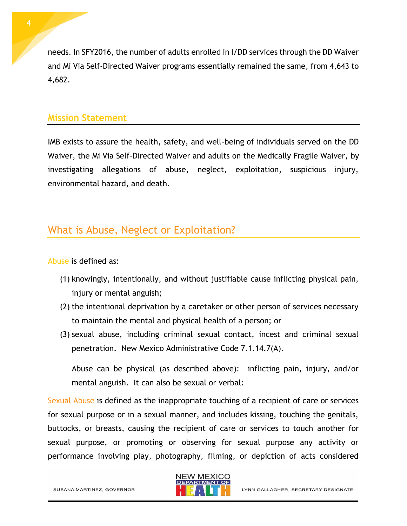needs. In SFY2016, the number of adults enrolled in I/DD services through the DD Waiver and Mi Via Self-Directed Waiver programs essentially remained the same, from 4,643 to 4,682.

#### **Mission Statement**

IMB exists to assure the health, safety, and well-being of individuals served on the DD Waiver, the Mi Via Self-Directed Waiver and adults on the Medically Fragile Waiver, by investigating allegations of abuse, neglect, exploitation, suspicious injury, environmental hazard, and death.

# What is Abuse, Neglect or Exploitation?

Abuse is defined as:

- (1) knowingly, intentionally, and without justifiable cause inflicting physical pain, injury or mental anguish;
- (2) the intentional deprivation by a caretaker or other person of services necessary to maintain the mental and physical health of a person; or
- (3) sexual abuse, including criminal sexual contact, incest and criminal sexual penetration. New Mexico Administrative Code 7.1.14.7(A).

Abuse can be physical (as described above): inflicting pain, injury, and/or mental anguish. It can also be sexual or verbal:

Sexual Abuse is defined as the inappropriate touching of a recipient of care or services for sexual purpose or in a sexual manner, and includes kissing, touching the genitals, buttocks, or breasts, causing the recipient of care or services to touch another for sexual purpose, or promoting or observing for sexual purpose any activity or performance involving play, photography, filming, or depiction of acts considered

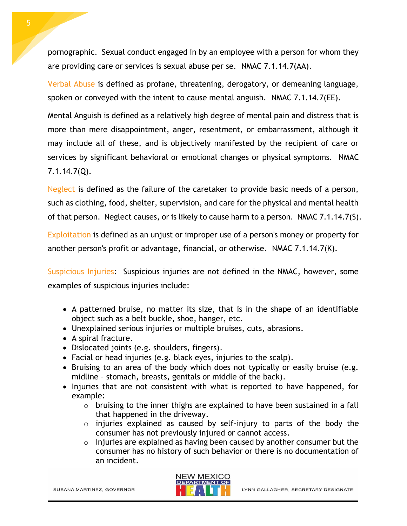pornographic. Sexual conduct engaged in by an employee with a person for whom they are providing care or services is sexual abuse per se. NMAC 7.1.14.7(AA).

Verbal Abuse is defined as profane, threatening, derogatory, or demeaning language, spoken or conveyed with the intent to cause mental anguish. NMAC 7.1.14.7(EE).

Mental Anguish is defined as a relatively high degree of mental pain and distress that is more than mere disappointment, anger, resentment, or embarrassment, although it may include all of these, and is objectively manifested by the recipient of care or services by significant behavioral or emotional changes or physical symptoms. NMAC 7.1.14.7(Q).

Neglect is defined as the failure of the caretaker to provide basic needs of a person, such as clothing, food, shelter, supervision, and care for the physical and mental health of that person. Neglect causes, or is likely to cause harm to a person. NMAC 7.1.14.7(S).

Exploitation is defined as an unjust or improper use of a person's money or property for another person's profit or advantage, financial, or otherwise. NMAC 7.1.14.7(K).

Suspicious Injuries: Suspicious injuries are not defined in the NMAC, however, some examples of suspicious injuries include:

- A patterned bruise, no matter its size, that is in the shape of an identifiable object such as a belt buckle, shoe, hanger, etc.
- Unexplained serious injuries or multiple bruises, cuts, abrasions.
- A spiral fracture.
- Dislocated joints (e.g. shoulders, fingers).
- Facial or head injuries (e.g. black eyes, injuries to the scalp).
- Bruising to an area of the body which does not typically or easily bruise (e.g. midline – stomach, breasts, genitals or middle of the back).
- Injuries that are not consistent with what is reported to have happened, for example:
	- $\circ$  bruising to the inner thighs are explained to have been sustained in a fall that happened in the driveway.
	- o injuries explained as caused by self-injury to parts of the body the consumer has not previously injured or cannot access.
	- o Injuries are explained as having been caused by another consumer but the consumer has no history of such behavior or there is no documentation of an incident.

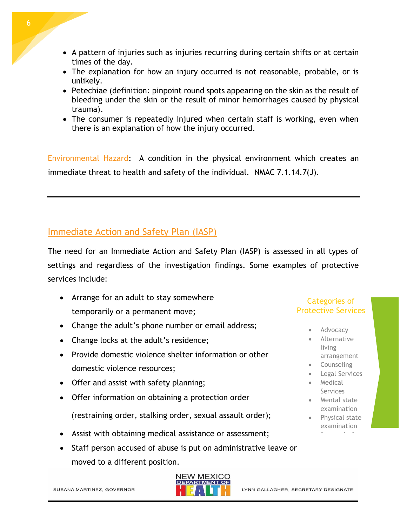- A pattern of injuries such as injuries recurring during certain shifts or at certain times of the day.
- The explanation for how an injury occurred is not reasonable, probable, or is unlikely.
- Petechiae (definition: pinpoint round spots appearing on the skin as the result of bleeding under the skin or the result of minor hemorrhages caused by physical trauma).
- The consumer is repeatedly injured when certain staff is working, even when there is an explanation of how the injury occurred.

Environmental Hazard: A condition in the physical environment which creates an immediate threat to health and safety of the individual. NMAC 7.1.14.7(J).

# Immediate Action and Safety Plan (IASP)

The need for an Immediate Action and Safety Plan (IASP) is assessed in all types of settings and regardless of the investigation findings. Some examples of protective services include:

- Arrange for an adult to stay somewhere temporarily or a permanent move;
- Change the adult's phone number or email address;
- Change locks at the adult's residence;
- Provide domestic violence shelter information or other domestic violence resources;
- Offer and assist with safety planning;
- Offer information on obtaining a protection order (restraining order, stalking order, sexual assault order);
- Assist with obtaining medical assistance or assessment;
- Staff person accused of abuse is put on administrative leave or moved to a different position.



#### Categories of Protective Services

- Advocacy
- **•** Alternative living arrangement
- **•** Counseling
- Legal Services
- Medical Services
- Mental state examination
- Physical state examination

Removal of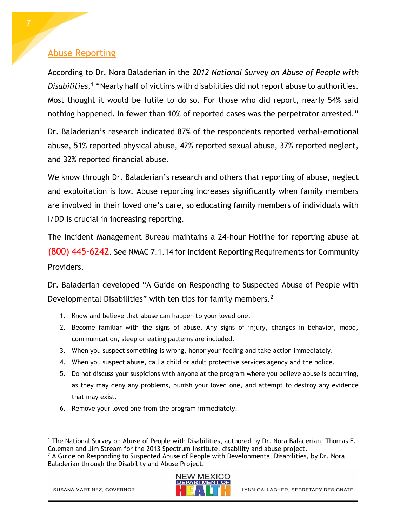### Abuse Reporting

According to Dr. Nora Baladerian in the *2012 National Survey on Abuse of People with Disabilities*, <sup>1</sup> "Nearly half of victims with disabilities did not report abuse to authorities. Most thought it would be futile to do so. For those who did report, nearly 54% said nothing happened. In fewer than 10% of reported cases was the perpetrator arrested."

Dr. Baladerian's research indicated 87% of the respondents reported verbal-emotional abuse, 51% reported physical abuse, 42% reported sexual abuse, 37% reported neglect, and 32% reported financial abuse.

We know through Dr. Baladerian's research and others that reporting of abuse, neglect and exploitation is low. Abuse reporting increases significantly when family members are involved in their loved one's care, so educating family members of individuals with I/DD is crucial in increasing reporting.

The Incident Management Bureau maintains a 24-hour Hotline for reporting abuse at (800) 445-6242. See NMAC 7.1.14 for Incident Reporting Requirements for Community Providers.

Dr. Baladerian developed "A Guide on Responding to Suspected Abuse of People with Developmental Disabilities" with ten tips for family members.<sup>2</sup>

- 1. Know and believe that abuse can happen to your loved one.
- 2. Become familiar with the signs of abuse. Any signs of injury, changes in behavior, mood, communication, sleep or eating patterns are included.
- 3. When you suspect something is wrong, honor your feeling and take action immediately.
- 4. When you suspect abuse, call a child or adult protective services agency and the police.
- 5. Do not discuss your suspicions with anyone at the program where you believe abuse is occurring, as they may deny any problems, punish your loved one, and attempt to destroy any evidence that may exist.
- 6. Remove your loved one from the program immediately.

 $<sup>2</sup>$  A Guide on Responding to Suspected Abuse of People with Developmental Disabilities, by Dr. Nora</sup> Baladerian through the Disability and Abuse Project.



l <sup>1</sup> The National Survey on Abuse of People with Disabilities, authored by Dr. Nora Baladerian, Thomas F. Coleman and Jim Stream for the 2013 Spectrum Institute, disability and abuse project.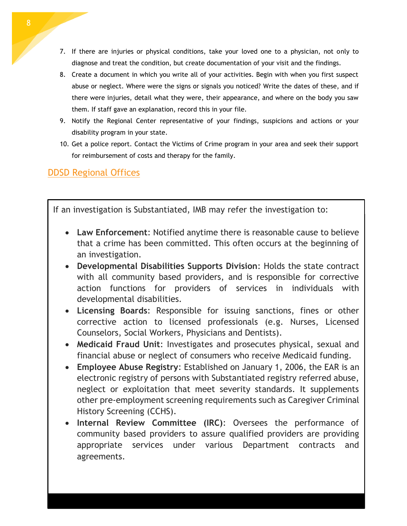- 7. If there are injuries or physical conditions, take your loved one to a physician, not only to diagnose and treat the condition, but create documentation of your visit and the findings.
- 8. Create a document in which you write all of your activities. Begin with when you first suspect abuse or neglect. Where were the signs or signals you noticed? Write the dates of these, and if there were injuries, detail what they were, their appearance, and where on the body you saw them. If staff gave an explanation, record this in your file.
- 9. Notify the Regional Center representative of your findings, suspicions and actions or your disability program in your state.
- 10. Get a police report. Contact the Victims of Crime program in your area and seek their support for reimbursement of costs and therapy for the family.

# DDSD Regional Offices

If an investigation is Substantiated, IMB may refer the investigation to:

- **Law Enforcement**: Notified anytime there is reasonable cause to believe that a crime has been committed. This often occurs at the beginning of an investigation.
- **Developmental Disabilities Supports Division**: Holds the state contract with all community based providers, and is responsible for corrective action functions for providers of services in individuals with developmental disabilities.
- **Licensing Boards**: Responsible for issuing sanctions, fines or other corrective action to licensed professionals (e.g. Nurses, Licensed Counselors, Social Workers, Physicians and Dentists).
- **Medicaid Fraud Unit**: Investigates and prosecutes physical, sexual and financial abuse or neglect of consumers who receive Medicaid funding.
- **Employee Abuse Registry**: Established on January 1, 2006, the EAR is an electronic registry of persons with Substantiated registry referred abuse, neglect or exploitation that meet severity standards. It supplements other pre-employment screening requirements such as Caregiver Criminal History Screening (CCHS).
- **Internal Review Committee (IRC)**: Oversees the performance of community based providers to assure qualified providers are providing appropriate services under various Department contracts and agreements.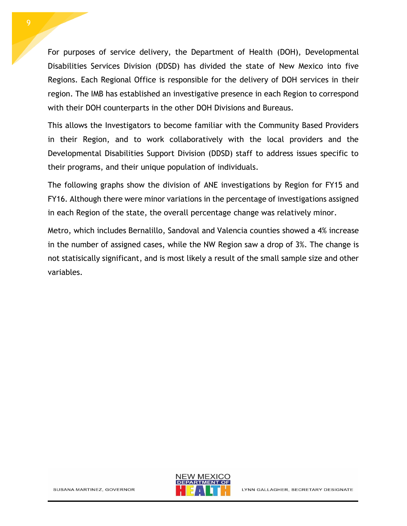For purposes of service delivery, the Department of Health (DOH), Developmental Disabilities Services Division (DDSD) has divided the state of New Mexico into five Regions. Each Regional Office is responsible for the delivery of DOH services in their region. The IMB has established an investigative presence in each Region to correspond with their DOH counterparts in the other DOH Divisions and Bureaus.

This allows the Investigators to become familiar with the Community Based Providers in their Region, and to work collaboratively with the local providers and the Developmental Disabilities Support Division (DDSD) staff to address issues specific to their programs, and their unique population of individuals.

The following graphs show the division of ANE investigations by Region for FY15 and FY16. Although there were minor variations in the percentage of investigations assigned in each Region of the state, the overall percentage change was relatively minor.

Metro, which includes Bernalillo, Sandoval and Valencia counties showed a 4% increase in the number of assigned cases, while the NW Region saw a drop of 3%. The change is not statisically significant, and is most likely a result of the small sample size and other variables.

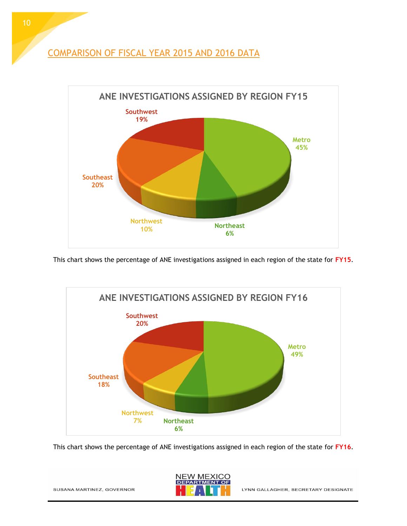COMPARISON OF FISCAL YEAR 2015 AND 2016 DATA



This chart shows the percentage of ANE investigations assigned in each region of the state for **FY15**.



This chart shows the percentage of ANE investigations assigned in each region of the state for **FY16**.

**NEW MEXICO DEPARTMENT** OF

SUSANA MARTINEZ, GOVERNOR

LYNN GALLAGHER, SECRETARY DESIGNATE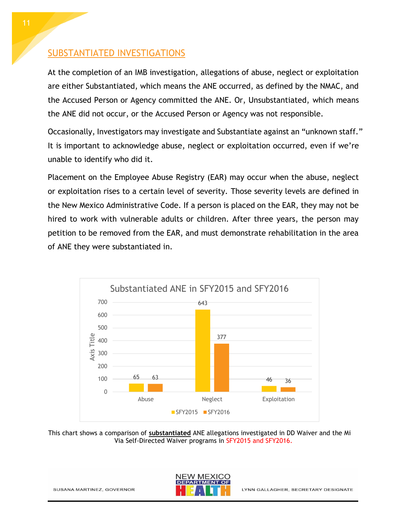### SUBSTANTIATED INVESTIGATIONS

At the completion of an IMB investigation, allegations of abuse, neglect or exploitation are either Substantiated, which means the ANE occurred, as defined by the NMAC, and the Accused Person or Agency committed the ANE. Or, Unsubstantiated, which means the ANE did not occur, or the Accused Person or Agency was not responsible.

Occasionally, Investigators may investigate and Substantiate against an "unknown staff." It is important to acknowledge abuse, neglect or exploitation occurred, even if we're unable to identify who did it.

Placement on the Employee Abuse Registry (EAR) may occur when the abuse, neglect or exploitation rises to a certain level of severity. Those severity levels are defined in the New Mexico Administrative Code. If a person is placed on the EAR, they may not be hired to work with vulnerable adults or children. After three years, the person may petition to be removed from the EAR, and must demonstrate rehabilitation in the area of ANE they were substantiated in.



This chart shows a comparison of **substantiated** ANE allegations investigated in DD Waiver and the Mi Via Self-Directed Waiver programs in SFY2015 and SFY2016.

SUSANA MARTINEZ, GOVERNOR

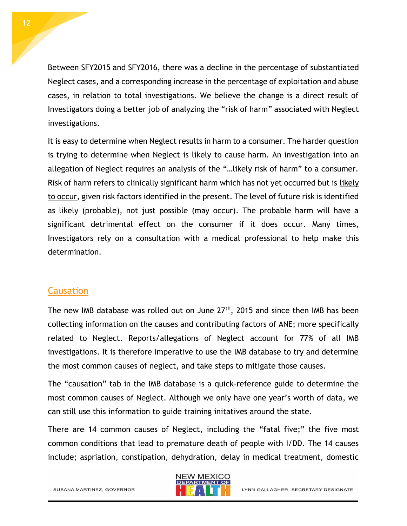Between SFY2015 and SFY2016, there was a decline in the percentage of substantiated Neglect cases, and a corresponding increase in the percentage of exploitation and abuse cases, in relation to total investigations. We believe the change is a direct result of Investigators doing a better job of analyzing the "risk of harm" associated with Neglect investigations.

It is easy to determine when Neglect results in harm to a consumer. The harder question is trying to determine when Neglect is likely to cause harm. An investigation into an allegation of Neglect requires an analysis of the "…likely risk of harm" to a consumer. Risk of harm refers to clinically significant harm which has not yet occurred but is likely to occur, given risk factors identified in the present. The level of future risk is identified as likely (probable), not just possible (may occur). The probable harm will have a significant detrimental effect on the consumer if it does occur. Many times, Investigators rely on a consultation with a medical professional to help make this determination.

#### Causation

The new IMB database was rolled out on June 27<sup>th</sup>, 2015 and since then IMB has been collecting information on the causes and contributing factors of ANE; more specifically related to Neglect. Reports/allegations of Neglect account for 77% of all IMB investigations. It is therefore imperative to use the IMB database to try and determine the most common causes of neglect, and take steps to mitigate those causes.

The "causation" tab in the IMB database is a quick-reference guide to determine the most common causes of Neglect. Although we only have one year's worth of data, we can still use this information to guide training initatives around the state.

There are 14 common causes of Neglect, including the "fatal five;" the five most common conditions that lead to premature death of people with I/DD. The 14 causes include; aspriation, constipation, dehydration, delay in medical treatment, domestic

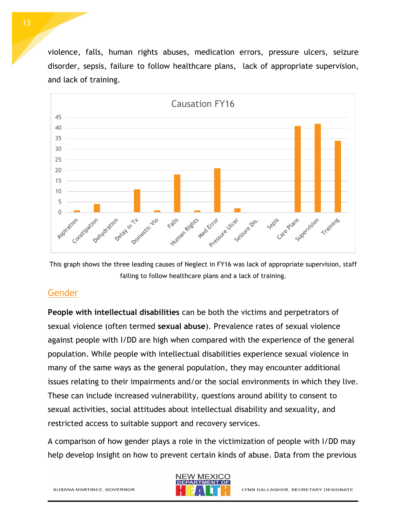violence, falls, human rights abuses, medication errors, pressure ulcers, seizure disorder, sepsis, failure to follow healthcare plans, lack of appropriate supervision, and lack of training.



This graph shows the three leading causes of Neglect in FY16 was lack of appropriate supervision, staff failing to follow healthcare plans and a lack of training.

### **Gender**

**People with intellectual disabilities** can be both the victims and perpetrators of sexual violence (often termed **sexual abuse**). Prevalence rates of sexual violence against people with I/DD are high when compared with the experience of the general population. While people with intellectual disabilities experience sexual violence in many of the same ways as the general population, they may encounter additional issues relating to their impairments and/or the social environments in which they live. These can include increased vulnerability, questions around ability to consent to sexual activities, social attitudes about intellectual disability and sexuality, and restricted access to suitable support and recovery services.

A comparison of how gender plays a role in the victimization of people with I/DD may help develop insight on how to prevent certain kinds of abuse. Data from the previous



SUSANA MARTINEZ, GOVERNOR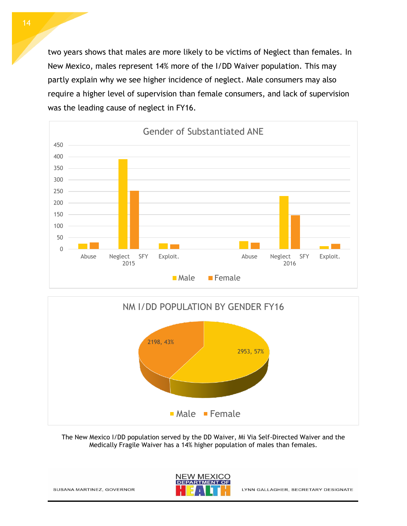two years shows that males are more likely to be victims of Neglect than females. In New Mexico, males represent 14% more of the I/DD Waiver population. This may partly explain why we see higher incidence of neglect. Male consumers may also require a higher level of supervision than female consumers, and lack of supervision was the leading cause of neglect in FY16.





The New Mexico I/DD population served by the DD Waiver, Mi Via Self-Directed Waiver and the Medically Fragile Waiver has a 14% higher population of males than females.

SUSANA MARTINEZ, GOVERNOR



LYNN GALLAGHER, SECRETARY DESIGNATE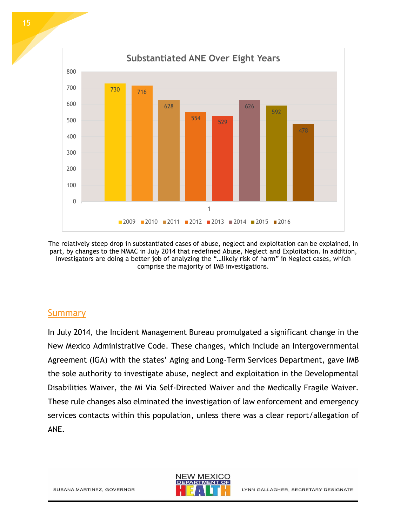

478 0 100 200 300 400 1  $\blacksquare$ 2009  $\blacksquare$ 2010  $\blacksquare$ 2011  $\blacksquare$ 2012  $\blacksquare$ 2013  $\blacksquare$ 2014  $\blacksquare$ 2015  $\blacksquare$ 2016

626

592

The relatively steep drop in substantiated cases of abuse, neglect and exploitation can be explained, in part, by changes to the NMAC in July 2014 that redefined Abuse, Neglect and Exploitation. In addition, Investigators are doing a better job of analyzing the "…likely risk of harm" in Neglect cases, which comprise the majority of IMB investigations.

### **Summary**

In July 2014, the Incident Management Bureau promulgated a significant change in the New Mexico Administrative Code. These changes, which include an Intergovernmental Agreement (IGA) with the states' Aging and Long-Term Services Department, gave IMB the sole authority to investigate abuse, neglect and exploitation in the Developmental Disabilities Waiver, the Mi Via Self-Directed Waiver and the Medically Fragile Waiver. These rule changes also elminated the investigation of law enforcement and emergency services contacts within this population, unless there was a clear report/allegation of ANE.